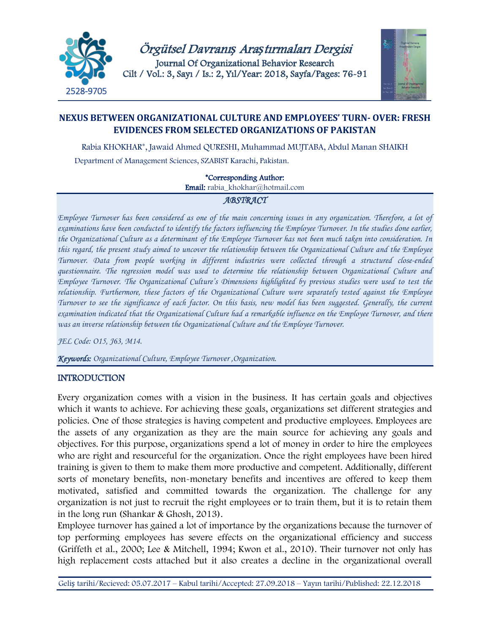

Örgütsel Davranı*ş* Ara*ş*tırmaları Dergisi Journal Of Organizational Behavior Research Cilt / Vol.: 3, Sayı / Is.: 2, Yıl/Year: 2018, Sayfa/Pages: 76-91



# **NEXUS BETWEEN ORGANIZATIONAL CULTURE AND EMPLOYEES' TURN- OVER: FRESH EVIDENCES FROM SELECTED ORGANIZATIONS OF PAKISTAN**

Rabia KHOKHAR\*, Jawaid Ahmed QURESHI, Muhammad MUJTABA, Abdul Manan SHAIKH Department of Management Sciences, SZABIST Karachi, Pakistan.

\*Corresponding Author:

Email: [rabia\\_khokhar@hotmail.com](mailto:rabia_khokhar@hotmail.com)

## *ABSTRACT*

*Employee Turnover has been considered as one of the main concerning issues in any organization. Therefore, a lot of examinations have been conducted to identify the factors influencing the Employee Turnover. In the studies done earlier, the Organizational Culture as a determinant of the Employee Turnover has not been much taken into consideration. In this regard, the present study aimed to uncover the relationship between the Organizational Culture and the Employee Turnover. Data from people working in different industries were collected through a structured close-ended questionnaire. The regression model was used to determine the relationship between Organizational Culture and Employee Turnover. The Organizational Culture's Dimensions highlighted by previous studies were used to test the relationship. Furthermore, these factors of the Organizational Culture were separately tested against the Employee Turnover to see the significance of each factor. On this basis, new model has been suggested. Generally, the current examination indicated that the Organizational Culture had a remarkable influence on the Employee Turnover, and there*  was an inverse relationship between the Organizational Culture and the Employee Turnover.

*JEL Code: O15, J63, M14.*

*Keywords: Organizational Culture, Employee Turnover ,Organization.*

## **INTRODUCTION**

Every organization comes with a vision in the business. It has certain goals and objectives which it wants to achieve. For achieving these goals, organizations set different strategies and policies. One of those strategies is having competent and productive employees. Employees are the assets of any organization as they are the main source for achieving any goals and objectives. For this purpose, organizations spend a lot of money in order to hire the employees who are right and resourceful for the organization. Once the right employees have been hired training is given to them to make them more productive and competent. Additionally, different sorts of monetary benefits, non-monetary benefits and incentives are offered to keep them motivated, satisfied and committed towards the organization. The challenge for any organization is not just to recruit the right employees or to train them, but it is to retain them in the long run (Shankar & Ghosh, 2013).

Employee turnover has gained a lot of importance by the organizations because the turnover of top performing employees has severe effects on the organizational efficiency and success (Griffeth et al., 2000; Lee & Mitchell, 1994; Kwon et al., 2010). Their turnover not only has high replacement costs attached but it also creates a decline in the organizational overall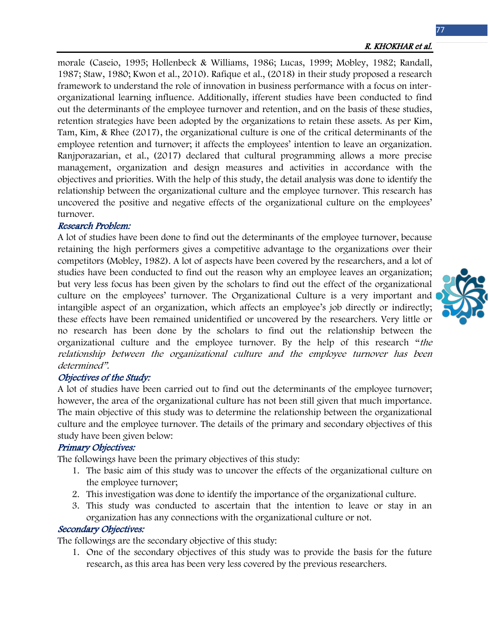morale (Caseio, 1995; Hollenbeck & Williams, 1986; Lucas, 1999; Mobley, 1982; Randall, 1987; Staw, 1980; Kwon et al., 2010). Rafique et al., (2018) in their study proposed a research framework to understand the role of innovation in business performance with a focus on interorganizational learning influence. Additionally, ifferent studies have been conducted to find out the determinants of the employee turnover and retention, and on the basis of these studies, retention strategies have been adopted by the organizations to retain these assets. As per Kim, Tam, Kim, & Rhee (2017), the organizational culture is one of the critical determinants of the employee retention and turnover; it affects the employees' intention to leave an organization. Ranjporazarian, et al., (2017) declared that cultural programming allows a more precise management, organization and design measures and activities in accordance with the objectives and priorities. With the help of this study, the detail analysis was done to identify the relationship between the organizational culture and the employee turnover. This research has uncovered the positive and negative effects of the organizational culture on the employees' turnover.

## Research Problem:

A lot of studies have been done to find out the determinants of the employee turnover, because retaining the high performers gives a competitive advantage to the organizations over their competitors (Mobley, 1982). A lot of aspects have been covered by the researchers, and a lot of studies have been conducted to find out the reason why an employee leaves an organization; but very less focus has been given by the scholars to find out the effect of the organizational culture on the employees' turnover. The Organizational Culture is a very important and intangible aspect of an organization, which affects an employee's job directly or indirectly; these effects have been remained unidentified or uncovered by the researchers. Very little or no research has been done by the scholars to find out the relationship between the organizational culture and the employee turnover. By the help of this research "the relationship between the organizational culture and the employee turnover has been determined".

## Objectives of the Study:

A lot of studies have been carried out to find out the determinants of the employee turnover; however, the area of the organizational culture has not been still given that much importance. The main objective of this study was to determine the relationship between the organizational culture and the employee turnover. The details of the primary and secondary objectives of this study have been given below:

## Primary Objectives:

The followings have been the primary objectives of this study:

- 1. The basic aim of this study was to uncover the effects of the organizational culture on the employee turnover;
- 2. This investigation was done to identify the importance of the organizational culture.
- 3. This study was conducted to ascertain that the intention to leave or stay in an organization has any connections with the organizational culture or not.

## Secondary Objectives:

The followings are the secondary objective of this study:

1. One of the secondary objectives of this study was to provide the basis for the future research, as this area has been very less covered by the previous researchers.

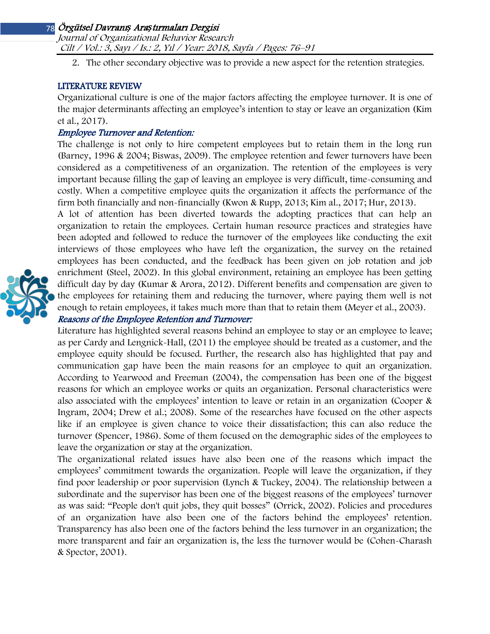Journal of Organizational Behavior Research Cilt / Vol.: 3, Sayı / Is.: 2, Yıl / Year: 2018, Sayfa / Pages: 76–91

2. The other secondary objective was to provide a new aspect for the retention strategies.

## LITERATURE REVIEW

Organizational culture is one of the major factors affecting the employee turnover. It is one of the major determinants affecting an employee's intention to stay or leave an organization (Kim et al., 2017).

## Employee Turnover and Retention:

The challenge is not only to hire competent employees but to retain them in the long run (Barney, 1996 & 2004; Biswas, 2009). The employee retention and fewer turnovers have been considered as a competitiveness of an organization. The retention of the employees is very important because filling the gap of leaving an employee is very difficult, time-consuming and costly. When a competitive employee quits the organization it affects the performance of the firm both financially and non-financially (Kwon & Rupp, 2013; Kim al., 2017; Hur, 2013).

A lot of attention has been diverted towards the adopting practices that can help an organization to retain the employees. Certain human resource practices and strategies have been adopted and followed to reduce the turnover of the employees like conducting the exit interviews of those employees who have left the organization, the survey on the retained employees has been conducted, and the feedback has been given on job rotation and job enrichment (Steel, 2002). In this global environment, retaining an employee has been getting difficult day by day (Kumar & Arora, 2012). Different benefits and compensation are given to the employees for retaining them and reducing the turnover, where paying them well is not enough to retain employees, it takes much more than that to retain them (Meyer et al., 2003).

## Reasons of the Employee Retention and Turnover:

Literature has highlighted several reasons behind an employee to stay or an employee to leave; as per Cardy and Lengnick-Hall, (2011) the employee should be treated as a customer, and the employee equity should be focused. Further, the research also has highlighted that pay and communication gap have been the main reasons for an employee to quit an organization. According to Yearwood and Freeman (2004), the compensation has been one of the biggest reasons for which an employee works or quits an organization. Personal characteristics were also associated with the employees' intention to leave or retain in an organization (Cooper & Ingram, 2004; Drew et al.; 2008). Some of the researches have focused on the other aspects like if an employee is given chance to voice their dissatisfaction; this can also reduce the turnover (Spencer, 1986). Some of them focused on the demographic sides of the employees to leave the organization or stay at the organization.

The organizational related issues have also been one of the reasons which impact the employees' commitment towards the organization. People will leave the organization, if they find poor leadership or poor supervision (Lynch & Tuckey, 2004). The relationship between a subordinate and the supervisor has been one of the biggest reasons of the employees' turnover as was said: "People don't quit jobs, they quit bosses" (Orrick, 2002). Policies and procedures of an organization have also been one of the factors behind the employees' retention. Transparency has also been one of the factors behind the less turnover in an organization; the more transparent and fair an organization is, the less the turnover would be (Cohen-Charash & Spector, 2001).

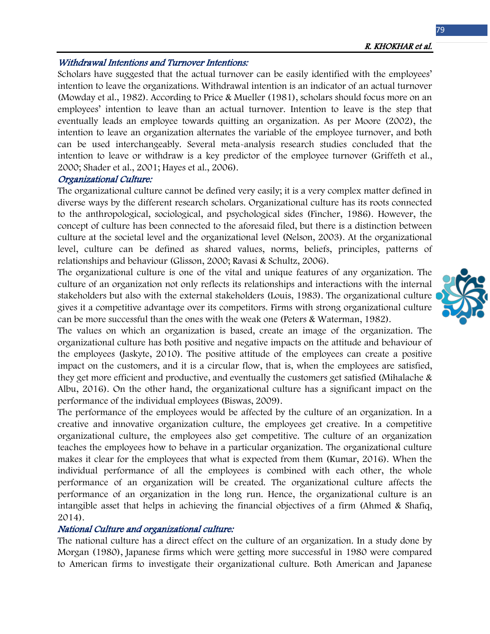#### Withdrawal Intentions and Turnover Intentions:

Scholars have suggested that the actual turnover can be easily identified with the employees' intention to leave the organizations. Withdrawal intention is an indicator of an actual turnover (Mowday et al., 1982). According to Price & Mueller (1981), scholars should focus more on an employees' intention to leave than an actual turnover. Intention to leave is the step that eventually leads an employee towards quitting an organization. As per Moore (2002), the intention to leave an organization alternates the variable of the employee turnover, and both can be used interchangeably. Several meta-analysis research studies concluded that the intention to leave or withdraw is a key predictor of the employee turnover (Griffeth et al., 2000; Shader et al., 2001; Hayes et al., 2006).

#### Organizational Culture:

The organizational culture cannot be defined very easily; it is a very complex matter defined in diverse ways by the different research scholars. Organizational culture has its roots connected to the anthropological, sociological, and psychological sides (Fincher, 1986). However, the concept of culture has been connected to the aforesaid filed, but there is a distinction between culture at the societal level and the organizational level (Nelson, 2003). At the organizational level, culture can be defined as shared values, norms, beliefs, principles, patterns of relationships and behaviour (Glisson, 2000; Ravasi & Schultz, 2006).

The organizational culture is one of the vital and unique features of any organization. The culture of an organization not only reflects its relationships and interactions with the internal stakeholders but also with the external stakeholders (Louis, 1983). The organizational culture gives it a competitive advantage over its competitors. Firms with strong organizational culture can be more successful than the ones with the weak one (Peters & Waterman, 1982).

The values on which an organization is based, create an image of the organization. The organizational culture has both positive and negative impacts on the attitude and behaviour of the employees (Jaskyte, 2010). The positive attitude of the employees can create a positive impact on the customers, and it is a circular flow, that is, when the employees are satisfied, they get more efficient and productive, and eventually the customers get satisfied (Mihalache & Albu, 2016). On the other hand, the organizational culture has a significant impact on the performance of the individual employees (Biswas, 2009).

The performance of the employees would be affected by the culture of an organization. In a creative and innovative organization culture, the employees get creative. In a competitive organizational culture, the employees also get competitive. The culture of an organization teaches the employees how to behave in a particular organization. The organizational culture makes it clear for the employees that what is expected from them (Kumar, 2016). When the individual performance of all the employees is combined with each other, the whole performance of an organization will be created. The organizational culture affects the performance of an organization in the long run. Hence, the organizational culture is an intangible asset that helps in achieving the financial objectives of a firm (Ahmed & Shafiq, 2014).

#### National Culture and organizational culture:

The national culture has a direct effect on the culture of an organization. In a study done by Morgan (1980), Japanese firms which were getting more successful in 1980 were compared to American firms to investigate their organizational culture. Both American and Japanese

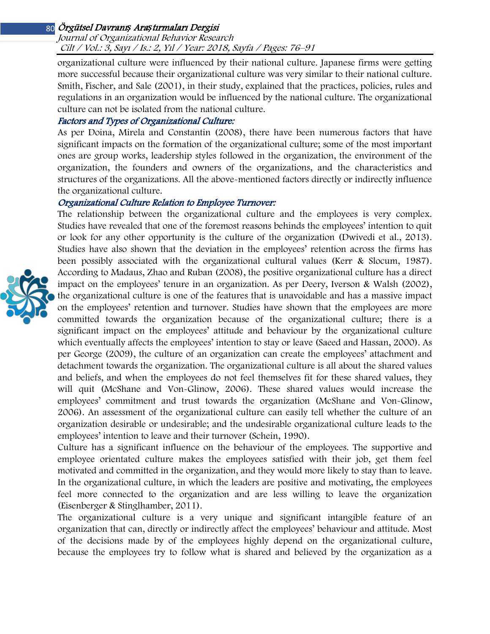#### Journal of Organizational Behavior Research Cilt / Vol.: 3, Sayı / Is.: 2, Yıl / Year: 2018, Sayfa / Pages: 76–91

organizational culture were influenced by their national culture. Japanese firms were getting more successful because their organizational culture was very similar to their national culture. Smith, Fischer, and Sale (2001), in their study, explained that the practices, policies, rules and regulations in an organization would be influenced by the national culture. The organizational culture can not be isolated from the national culture.

## Factors and Types of Organizational Culture:

As per Doina, Mirela and Constantin (2008), there have been numerous factors that have significant impacts on the formation of the organizational culture; some of the most important ones are group works, leadership styles followed in the organization, the environment of the organization, the founders and owners of the organizations, and the characteristics and structures of the organizations. All the above-mentioned factors directly or indirectly influence the organizational culture.

## Organizational Culture Relation to Employee Turnover:

The relationship between the organizational culture and the employees is very complex. Studies have revealed that one of the foremost reasons behinds the employees' intention to quit or look for any other opportunity is the culture of the organization (Dwivedi et al., 2013). Studies have also shown that the deviation in the employees' retention across the firms has been possibly associated with the organizational cultural values (Kerr & Slocum, 1987). According to Madaus, Zhao and Ruban (2008), the positive organizational culture has a direct impact on the employees' tenure in an organization. As per Deery, Iverson & Walsh (2002), the organizational culture is one of the features that is unavoidable and has a massive impact on the employees' retention and turnover. Studies have shown that the employees are more committed towards the organization because of the organizational culture; there is a significant impact on the employees' attitude and behaviour by the organizational culture which eventually affects the employees' intention to stay or leave (Saeed and Hassan, 2000). As per George (2009), the culture of an organization can create the employees' attachment and detachment towards the organization. The organizational culture is all about the shared values and beliefs, and when the employees do not feel themselves fit for these shared values, they will quit (McShane and Von-Glinow, 2006). These shared values would increase the employees' commitment and trust towards the organization (McShane and Von-Glinow, 2006). An assessment of the organizational culture can easily tell whether the culture of an organization desirable or undesirable; and the undesirable organizational culture leads to the employees' intention to leave and their turnover (Schein, 1990).

Culture has a significant influence on the behaviour of the employees. The supportive and employee orientated culture makes the employees satisfied with their job, get them feel motivated and committed in the organization, and they would more likely to stay than to leave. In the organizational culture, in which the leaders are positive and motivating, the employees feel more connected to the organization and are less willing to leave the organization (Eisenberger & Stinglhamber, 2011).

The organizational culture is a very unique and significant intangible feature of an organization that can, directly or indirectly affect the employees' behaviour and attitude. Most of the decisions made by of the employees highly depend on the organizational culture, because the employees try to follow what is shared and believed by the organization as a

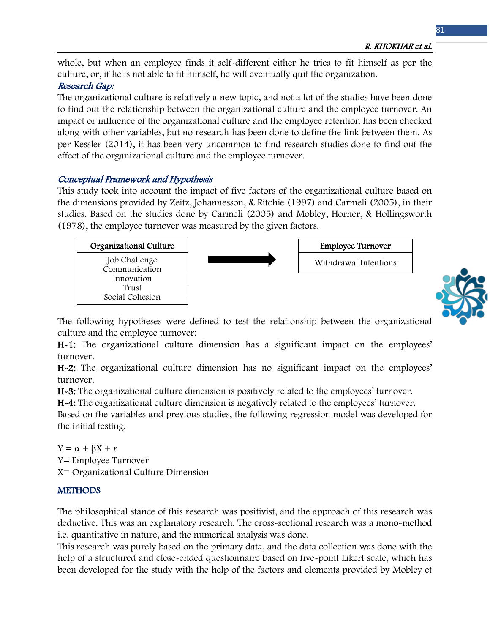whole, but when an employee finds it self-different either he tries to fit himself as per the culture, or, if he is not able to fit himself, he will eventually quit the organization.

# Research Gap:

The organizational culture is relatively a new topic, and not a lot of the studies have been done to find out the relationship between the organizational culture and the employee turnover. An impact or influence of the organizational culture and the employee retention has been checked along with other variables, but no research has been done to define the link between them. As per Kessler (2014), it has been very uncommon to find research studies done to find out the effect of the organizational culture and the employee turnover.

# Conceptual Framework and Hypothesis

This study took into account the impact of five factors of the organizational culture based on the dimensions provided by Zeitz, Johannesson, & Ritchie (1997) and Carmeli (2005), in their studies. Based on the studies done by Carmeli (2005) and Mobley, Horner, & Hollingsworth (1978), the employee turnover was measured by the given factors.





The following hypotheses were defined to test the relationship between the organizational culture and the employee turnover:

H-1: The organizational culture dimension has a significant impact on the employees' turnover.

H-2: The organizational culture dimension has no significant impact on the employees' turnover.

H-3: The organizational culture dimension is positively related to the employees' turnover.

H-4: The organizational culture dimension is negatively related to the employees' turnover.

Based on the variables and previous studies, the following regression model was developed for the initial testing.

 $Y = \alpha + \beta X + \epsilon$ Y= Employee Turnover X= Organizational Culture Dimension

# **METHODS**

The philosophical stance of this research was positivist, and the approach of this research was deductive. This was an explanatory research. The cross-sectional research was a mono-method i.e. quantitative in nature, and the numerical analysis was done.

This research was purely based on the primary data, and the data collection was done with the help of a structured and close-ended questionnaire based on five-point Likert scale, which has been developed for the study with the help of the factors and elements provided by Mobley et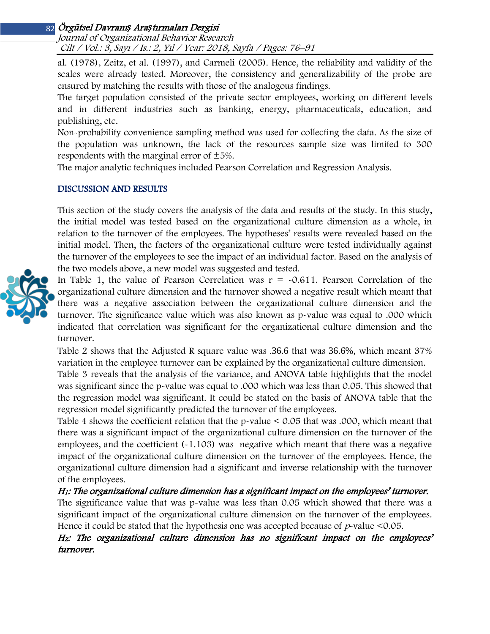Journal of Organizational Behavior Research Cilt / Vol.: 3, Sayı / Is.: 2, Yıl / Year: 2018, Sayfa / Pages: 76–91

al. (1978), Zeitz, et al. (1997), and Carmeli (2005). Hence, the reliability and validity of the scales were already tested. Moreover, the consistency and generalizability of the probe are ensured by matching the results with those of the analogous findings.

The target population consisted of the private sector employees, working on different levels and in different industries such as banking, energy, pharmaceuticals, education, and publishing, etc.

Non-probability convenience sampling method was used for collecting the data. As the size of the population was unknown, the lack of the resources sample size was limited to 300 respondents with the marginal error of  $\pm 5\%$ .

The major analytic techniques included Pearson Correlation and Regression Analysis.

#### DISCUSSION AND RESULTS

This section of the study covers the analysis of the data and results of the study. In this study, the initial model was tested based on the organizational culture dimension as a whole, in relation to the turnover of the employees. The hypotheses' results were revealed based on the initial model. Then, the factors of the organizational culture were tested individually against the turnover of the employees to see the impact of an individual factor. Based on the analysis of the two models above, a new model was suggested and tested.

In Table 1, the value of Pearson Correlation was  $r = -0.611$ . Pearson Correlation of the organizational culture dimension and the turnover showed a negative result which meant that there was a negative association between the organizational culture dimension and the turnover. The significance value which was also known as p-value was equal to .000 which indicated that correlation was significant for the organizational culture dimension and the turnover.

Table 2 shows that the Adjusted R square value was .36.6 that was 36.6%, which meant 37% variation in the employee turnover can be explained by the organizational culture dimension.

Table 3 reveals that the analysis of the variance, and ANOVA table highlights that the model was significant since the p-value was equal to .000 which was less than 0.05. This showed that the regression model was significant. It could be stated on the basis of ANOVA table that the regression model significantly predicted the turnover of the employees.

Table 4 shows the coefficient relation that the p-value < 0.05 that was .000, which meant that there was a significant impact of the organizational culture dimension on the turnover of the employees, and the coefficient (-1.103) was negative which meant that there was a negative impact of the organizational culture dimension on the turnover of the employees. Hence, the organizational culture dimension had a significant and inverse relationship with the turnover of the employees.

## H1: The organizational culture dimension has a significant impact on the employees' turnover.

The significance value that was p-value was less than 0.05 which showed that there was a significant impact of the organizational culture dimension on the turnover of the employees. Hence it could be stated that the hypothesis one was accepted because of  $p$ -value <0.05.

H<sub>2</sub>: The organizational culture dimension has no significant impact on the employees' turnover.

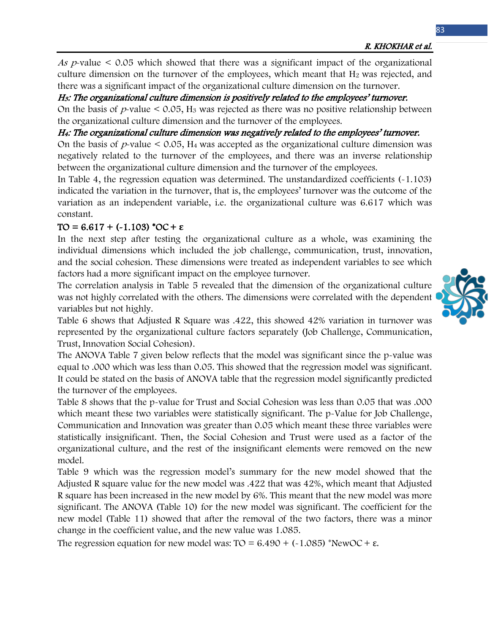R. KHOKHAR et al.

As  $p$ -value  $\leq$  0.05 which showed that there was a significant impact of the organizational culture dimension on the turnover of the employees, which meant that  $H_2$  was rejected, and there was a significant impact of the organizational culture dimension on the turnover.

<sup>H</sup>3: The organizational culture dimension is positively related to the employees' turnover.

On the basis of  $p$ -value  $\leq 0.05$ , H<sub>3</sub> was rejected as there was no positive relationship between the organizational culture dimension and the turnover of the employees.

H4: The organizational culture dimension was negatively related to the employees' turnover.

On the basis of  $p$ -value  $\leq 0.05$ , H<sub>4</sub> was accepted as the organizational culture dimension was negatively related to the turnover of the employees, and there was an inverse relationship between the organizational culture dimension and the turnover of the employees.

In Table 4, the regression equation was determined. The unstandardized coefficients (-1.103) indicated the variation in the turnover, that is, the employees' turnover was the outcome of the variation as an independent variable, i.e. the organizational culture was 6.617 which was constant.

# TO = 6.617 + (-1.103) \*OC + **ε**

In the next step after testing the organizational culture as a whole, was examining the individual dimensions which included the job challenge, communication, trust, innovation, and the social cohesion. These dimensions were treated as independent variables to see which factors had a more significant impact on the employee turnover.

The correlation analysis in Table 5 revealed that the dimension of the organizational culture was not highly correlated with the others. The dimensions were correlated with the dependent variables but not highly.



Table 6 shows that Adjusted R Square was .422, this showed 42% variation in turnover was represented by the organizational culture factors separately (Job Challenge, Communication, Trust, Innovation Social Cohesion).

The ANOVA Table 7 given below reflects that the model was significant since the p-value was equal to .000 which was less than 0.05. This showed that the regression model was significant. It could be stated on the basis of ANOVA table that the regression model significantly predicted the turnover of the employees.

Table 8 shows that the p-value for Trust and Social Cohesion was less than 0.05 that was .000 which meant these two variables were statistically significant. The p-Value for Job Challenge, Communication and Innovation was greater than 0.05 which meant these three variables were statistically insignificant. Then, the Social Cohesion and Trust were used as a factor of the organizational culture, and the rest of the insignificant elements were removed on the new model.

Table 9 which was the regression model's summary for the new model showed that the Adjusted R square value for the new model was .422 that was 42%, which meant that Adjusted R square has been increased in the new model by 6%. This meant that the new model was more significant. The ANOVA (Table 10) for the new model was significant. The coefficient for the new model (Table 11) showed that after the removal of the two factors, there was a minor change in the coefficient value, and the new value was 1.085.

The regression equation for new model was:  $TO = 6.490 + (-1.085)$  \*NewOC +  $\varepsilon$ .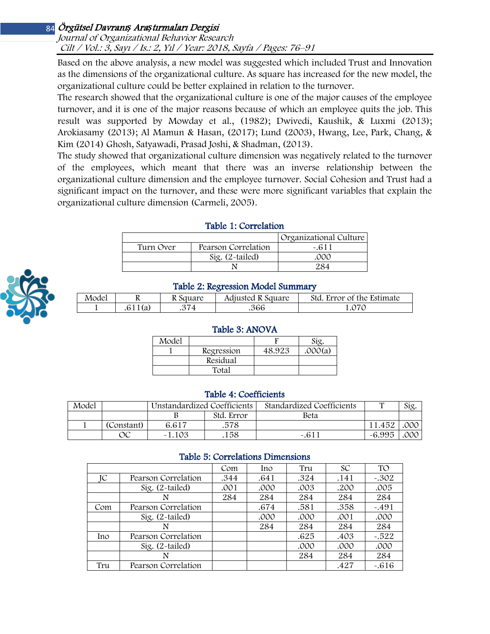#### Journal of Organizational Behavior Research Cilt / Vol.: 3, Sayı / Is.: 2, Yıl / Year: 2018, Sayfa / Pages: 76–91

Based on the above analysis, a new model was suggested which included Trust and Innovation as the dimensions of the organizational culture. As square has increased for the new model, the organizational culture could be better explained in relation to the turnover.

The research showed that the organizational culture is one of the major causes of the employee turnover, and it is one of the major reasons because of which an employee quits the job. This result was supported by Mowday et al., (1982); Dwivedi, Kaushik, & Luxmi (2013); Arokiasamy (2013); Al Mamun & Hasan, (2017); Lund (2003), Hwang, Lee, Park, Chang, & Kim (2014) Ghosh, Satyawadi, Prasad Joshi, & Shadman, (2013).

The study showed that organizational culture dimension was negatively related to the turnover of the employees, which meant that there was an inverse relationship between the organizational culture dimension and the employee turnover. Social Cohesion and Trust had a significant impact on the turnover, and these were more significant variables that explain the organizational culture dimension (Carmeli, 2005).

|           |                     | Organizational Culture |
|-----------|---------------------|------------------------|
| Turn Over | Pearson Correlation | $-.611$                |
|           | Sig. $(2$ -tailed)  | .000                   |
|           |                     |                        |
|           |                     |                        |

## Table 1: Correlation



## Table 2: Regression Model Summary

|       |         |          | .                 |                            |
|-------|---------|----------|-------------------|----------------------------|
| Model |         | k Square | Adjusted R Square | Std. Error of the Estimate |
|       | .611(a) |          | .366              |                            |

## Table 3: ANOVA

| Model |            |        |         |
|-------|------------|--------|---------|
|       | Regression | 48.923 | .000(a) |
|       | Residual   |        |         |
|       | Total      |        |         |

#### Table 4: Coefficients

| Model |            | Unstandardized Coefficients |            | Standardized Coefficients | m      | Sig. |
|-------|------------|-----------------------------|------------|---------------------------|--------|------|
|       |            |                             | Std. Error | Beta                      |        |      |
|       | (Constant) | 6.617                       | .578       |                           | 11.452 | .00C |
|       | ЭC         | $-1.103$                    | 158        | $-.611$                   | -6.995 | .000 |

## Table 5: Correlations Dimensions

|     |                     | Com  | Ino  | Tru  | <b>SC</b> | <b>TO</b> |  |  |  |
|-----|---------------------|------|------|------|-----------|-----------|--|--|--|
| IС  | Pearson Correlation | .344 | .641 | .324 | .141      | $-.302$   |  |  |  |
|     | Sig. $(2$ -tailed)  | .001 | .000 | .003 | .200      | .005      |  |  |  |
|     | N                   | 284  | 284  | 284  | 284       | 284       |  |  |  |
| Com | Pearson Correlation |      | .674 | .581 | .358      | $-.491$   |  |  |  |
|     | Sig. $(2$ -tailed)  |      | .000 | .000 | .001      | .000      |  |  |  |
|     | N                   |      | 284  | 284  | 284       | 284       |  |  |  |
| Ino | Pearson Correlation |      |      | .625 | .403      | $-.522$   |  |  |  |
|     | Sig. $(2$ -tailed)  |      |      | .000 | .000      | .000      |  |  |  |
|     | N                   |      |      | 284  | 284       | 284       |  |  |  |
| Tru | Pearson Correlation |      |      |      | .427      | $-.616$   |  |  |  |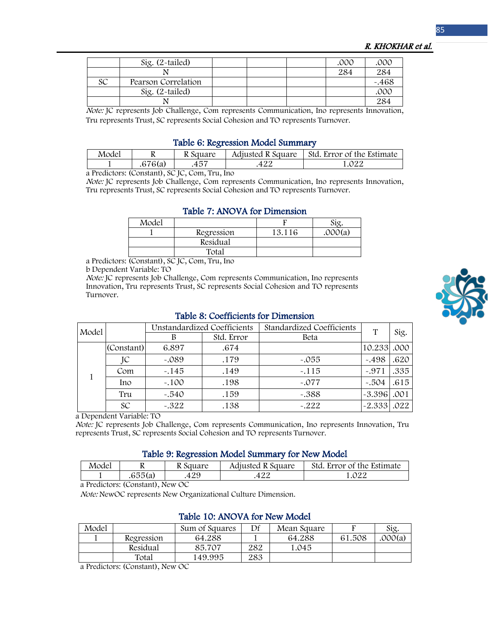|  | R. KHOKHAR et al. |  |
|--|-------------------|--|
|--|-------------------|--|

|    | $Sig. (2-tailed)$   |  | .000 | .000     |
|----|---------------------|--|------|----------|
|    |                     |  | 284  | 284      |
| SC | Pearson Correlation |  |      | $-0.468$ |
|    | Sig. $(2$ -tailed)  |  |      | .000     |
|    |                     |  |      | 284      |

Note: JC represents Job Challenge, Com represents Communication, Ino represents Innovation, Tru represents Trust, SC represents Social Cohesion and TO represents Turnover.

#### Table 6: Regression Model Summary

| Model | v       | R Square | Adjusted R Square | Std. Error of the Estimate |
|-------|---------|----------|-------------------|----------------------------|
|       | .676(a) | Ŧυ       | +∠∠               | ሰ22                        |

a Predictors: (Constant), SC JC, Com, Tru, Ino

Note: JC represents Job Challenge, Com represents Communication, Ino represents Innovation, Tru represents Trust, SC represents Social Cohesion and TO represents Turnover.

#### Table 7: ANOVA for Dimension

| Model |            |        | Sig     |
|-------|------------|--------|---------|
|       | Regression | 13.116 | .000(a) |
|       | Residual   |        |         |
|       | Total      |        |         |

a Predictors: (Constant), SC JC, Com, Tru, Ino

b Dependent Variable: TO

Note: JC represents Job Challenge, Com represents Communication, Ino represents Innovation, Tru represents Trust, SC represents Social Cohesion and TO represents Turnover.

| Model |            | <b>Unstandardized Coefficients</b> |            | Standardized Coefficients | T             | Sig. |
|-------|------------|------------------------------------|------------|---------------------------|---------------|------|
|       |            | В                                  | Std. Error | Beta                      |               |      |
|       | (Constant) | 6.897                              | .674       |                           | 10.233 .000   |      |
|       | JC         | $-.089$                            | .179       | $-.055$                   | $-498$        | .620 |
|       | Com        | $-.145$                            | .149       | $-.115$                   | $-971$        | .335 |
|       | Ino        | $-.100$                            | .198       | $-.077$                   | $-.504$       | .615 |
|       | Tru        | $-0.540$                           | .159       | $-.388$                   | $-3.396$ .001 |      |
|       | SC         | $-.322$                            | .138       | $-.222$                   | $-2.333$ .022 |      |

#### Table 8: Coefficients for Dimension

a Dependent Variable: TO

Note: JC represents Job Challenge, Com represents Communication, Ino represents Innovation, Tru represents Trust, SC represents Social Cohesion and TO represents Turnover.

#### Table 9: Regression Model Summary for New Model

| Model | 17      | R Square | Adjusted R Square | Std. Error of the Estimate |
|-------|---------|----------|-------------------|----------------------------|
|       | .655(a) | 429      | つつ<br>422         | 1.022                      |

a Predictors: (Constant), New OC

Note: NewOC represents New Organizational Culture Dimension.

| Model |            | Sum of Squares | Df  | Mean Square |        | Sig.    |  |  |  |
|-------|------------|----------------|-----|-------------|--------|---------|--|--|--|
|       | Regression | 64.288         |     | 64.288      | 61.508 | .000(a) |  |  |  |
|       | Residual   | 85.707         | 282 | 1.045       |        |         |  |  |  |
|       | Total      | 149.995        | 283 |             |        |         |  |  |  |

### Table 10: ANOVA for New Model

a Predictors: (Constant), New OC

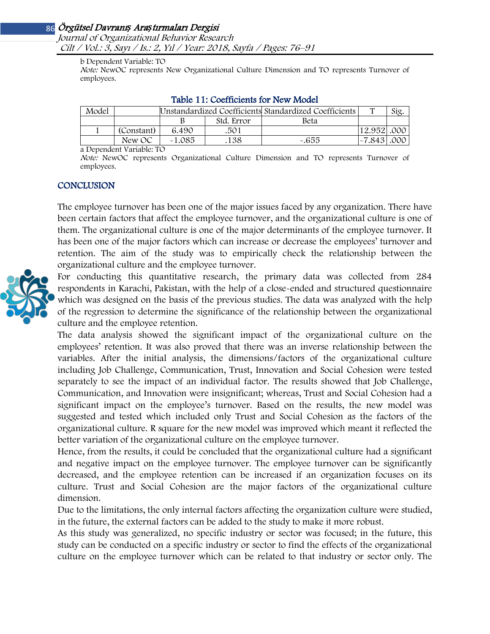Journal of Organizational Behavior Research Cilt / Vol.: 3, Sayı / Is.: 2, Yıl / Year: 2018, Sayfa / Pages: 76–91

b Dependent Variable: TO

Note: NewOC represents New Organizational Culture Dimension and TO represents Turnover of employees.

| Model |            | Unstandardized Coefficients Standardized Coefficients |            |        | $\mathbf{H}$ | Sig. |
|-------|------------|-------------------------------------------------------|------------|--------|--------------|------|
|       |            |                                                       | Std. Error | Beta   |              |      |
|       | (Constant) | 6.490                                                 | .501       |        | 12.952 .000  |      |
|       | New OC     | $-1.085$                                              | 138        | $-655$ | $-7.843$     | .000 |

#### Table 11: Coefficients for New Model

a Dependent Variable: TO

Note: NewOC represents Organizational Culture Dimension and TO represents Turnover of employees.

#### **CONCLUSION**

The employee turnover has been one of the major issues faced by any organization. There have been certain factors that affect the employee turnover, and the organizational culture is one of them. The organizational culture is one of the major determinants of the employee turnover. It has been one of the major factors which can increase or decrease the employees' turnover and retention. The aim of the study was to empirically check the relationship between the organizational culture and the employee turnover.

For conducting this quantitative research, the primary data was collected from 284 respondents in Karachi, Pakistan, with the help of a close-ended and structured questionnaire which was designed on the basis of the previous studies. The data was analyzed with the help of the regression to determine the significance of the relationship between the organizational culture and the employee retention.

The data analysis showed the significant impact of the organizational culture on the employees' retention. It was also proved that there was an inverse relationship between the variables. After the initial analysis, the dimensions/factors of the organizational culture including Job Challenge, Communication, Trust, Innovation and Social Cohesion were tested separately to see the impact of an individual factor. The results showed that Job Challenge, Communication, and Innovation were insignificant; whereas, Trust and Social Cohesion had a significant impact on the employee's turnover. Based on the results, the new model was suggested and tested which included only Trust and Social Cohesion as the factors of the organizational culture. R square for the new model was improved which meant it reflected the better variation of the organizational culture on the employee turnover.

Hence, from the results, it could be concluded that the organizational culture had a significant and negative impact on the employee turnover. The employee turnover can be significantly decreased, and the employee retention can be increased if an organization focuses on its culture. Trust and Social Cohesion are the major factors of the organizational culture dimension.

Due to the limitations, the only internal factors affecting the organization culture were studied, in the future, the external factors can be added to the study to make it more robust.

As this study was generalized, no specific industry or sector was focused; in the future, this study can be conducted on a specific industry or sector to find the effects of the organizational culture on the employee turnover which can be related to that industry or sector only. The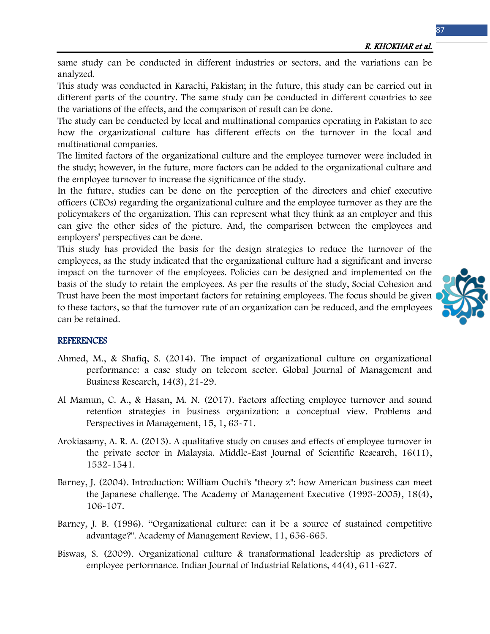same study can be conducted in different industries or sectors, and the variations can be analyzed.

This study was conducted in Karachi, Pakistan; in the future, this study can be carried out in different parts of the country. The same study can be conducted in different countries to see the variations of the effects, and the comparison of result can be done.

The study can be conducted by local and multinational companies operating in Pakistan to see how the organizational culture has different effects on the turnover in the local and multinational companies.

The limited factors of the organizational culture and the employee turnover were included in the study; however, in the future, more factors can be added to the organizational culture and the employee turnover to increase the significance of the study.

In the future, studies can be done on the perception of the directors and chief executive officers (CEOs) regarding the organizational culture and the employee turnover as they are the policymakers of the organization. This can represent what they think as an employer and this can give the other sides of the picture. And, the comparison between the employees and employers' perspectives can be done.

This study has provided the basis for the design strategies to reduce the turnover of the employees, as the study indicated that the organizational culture had a significant and inverse impact on the turnover of the employees. Policies can be designed and implemented on the basis of the study to retain the employees. As per the results of the study, Social Cohesion and Trust have been the most important factors for retaining employees. The focus should be given to these factors, so that the turnover rate of an organization can be reduced, and the employees can be retained.



## **REFERENCES**

- Ahmed, M., & Shafiq, S. (2014). The impact of organizational culture on organizational performance: a case study on telecom sector. Global Journal of Management and Business Research, 14(3), 21-29.
- Al Mamun, C. A., & Hasan, M. N. (2017). Factors affecting employee turnover and sound retention strategies in business organization: a conceptual view. Problems and Perspectives in Management, 15, 1, 63-71.
- Arokiasamy, A. R. A. (2013). A qualitative study on causes and effects of employee turnover in the private sector in Malaysia. Middle-East Journal of Scientific Research, 16(11), 1532-1541.
- Barney, J. (2004). Introduction: William Ouchi's "theory z": how American business can meet the Japanese challenge. The Academy of Management Executive (1993-2005), 18(4), 106-107.
- Barney, J. B. (1996). "Organizational culture: can it be a source of sustained competitive advantage?". Academy of Management Review, 11, 656-665.
- Biswas, S. (2009). Organizational culture & transformational leadership as predictors of employee performance. Indian Journal of Industrial Relations, 44(4), 611-627.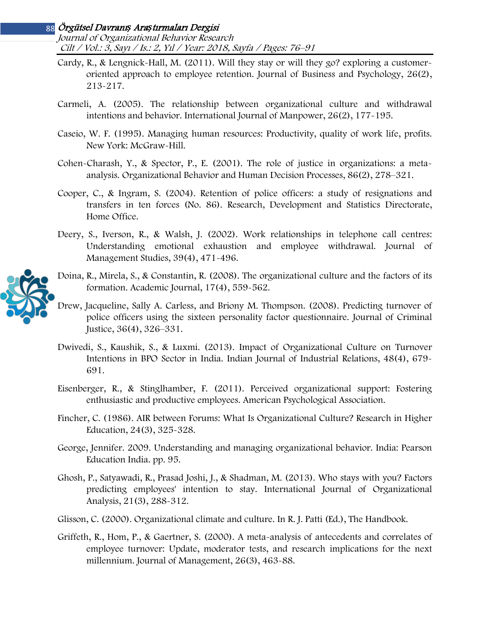Journal of Organizational Behavior Research Cilt / Vol.: 3, Sayı / Is.: 2, Yıl / Year: 2018, Sayfa / Pages: 76–91

- Cardy, R., & Lengnick-Hall, M. (2011). Will they stay or will they go? exploring a customeroriented approach to employee retention. Journal of Business and Psychology, 26(2), 213-217.
- Carmeli, A. (2005). The relationship between organizational culture and withdrawal intentions and behavior. International Journal of Manpower, 26(2), 177-195.
- Caseio, W. F. (1995). Managing human resources: Productivity, quality of work life, profits. New York: McGraw-Hill.
- Cohen-Charash, Y., & Spector, P., E. (2001). The role of justice in organizations: a metaanalysis. Organizational Behavior and Human Decision Processes, 86(2), 278–321.
- Cooper, C., & Ingram, S. (2004). Retention of police officers: a study of resignations and transfers in ten forces (No. 86). Research, Development and Statistics Directorate, Home Office.
- Deery, S., Iverson, R., & Walsh, J. (2002). Work relationships in telephone call centres: Understanding emotional exhaustion and employee withdrawal. Journal of Management Studies, 39(4), 471-496.
- Doina, R., Mirela, S., & Constantin, R. (2008). The organizational culture and the factors of its formation. Academic Journal, 17(4), 559-562.
- Drew, Jacqueline, Sally A. Carless, and Briony M. Thompson. (2008). Predicting turnover of police officers using the sixteen personality factor questionnaire. Journal of Criminal Justice, 36(4), 326–331.
- Dwivedi, S., Kaushik, S., & Luxmi. (2013). Impact of Organizational Culture on Turnover Intentions in BPO Sector in India. Indian Journal of Industrial Relations, 48(4), 679- 691.
- Eisenberger, R., & Stinglhamber, F. (2011). Perceived organizational support: Fostering enthusiastic and productive employees. American Psychological Association.
- Fincher, C. (1986). AIR between Forums: What Is Organizational Culture? Research in Higher Education, 24(3), 325-328.
- George, Jennifer. 2009. Understanding and managing organizational behavior. India: Pearson Education India. pp. 95.
- Ghosh, P., Satyawadi, R., Prasad Joshi, J., & Shadman, M. (2013). Who stays with you? Factors predicting employees' intention to stay. International Journal of Organizational Analysis, 21(3), 288-312.
- Glisson, C. (2000). Organizational climate and culture. In R. J. Patti (Ed.), The Handbook.
- Griffeth, R., Hom, P., & Gaertner, S. (2000). A meta-analysis of antecedents and correlates of employee turnover: Update, moderator tests, and research implications for the next millennium. Journal of Management, 26(3), 463-88.

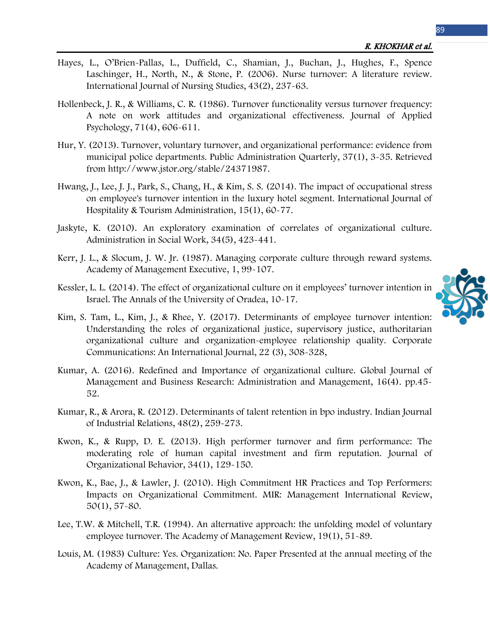- Hayes, L., O'Brien-Pallas, L., Duffield, C., Shamian, J., Buchan, J., Hughes, F., Spence Laschinger, H., North, N., & Stone, P. (2006). Nurse turnover: A literature review. International Journal of Nursing Studies, 43(2), 237-63.
- Hollenbeck, J. R., & Williams, C. R. (1986). Turnover functionality versus turnover frequency: A note on work attitudes and organizational effectiveness. Journal of Applied Psychology, 71(4), 606-611.
- Hur, Y. (2013). Turnover, voluntary turnover, and organizational performance: evidence from municipal police departments. Public Administration Quarterly, 37(1), 3-35. Retrieved from http://www.jstor.org/stable/24371987.
- Hwang, J., Lee, J. J., Park, S., Chang, H., & Kim, S. S. (2014). The impact of occupational stress on employee's turnover intention in the luxury hotel segment. International Journal of Hospitality & Tourism Administration, 15(1), 60-77.
- Jaskyte, K. (2010). An exploratory examination of correlates of organizational culture. Administration in Social Work, 34(5), 423-441.
- Kerr, J. L., & Slocum, J. W. Jr. (1987). Managing corporate culture through reward systems. Academy of Management Executive, 1, 99-107.
- Kessler, L. L. (2014). The effect of organizational culture on it employees' turnover intention in Israel. The Annals of the University of Oradea, 10-17.
- Kim, S. Tam, L., Kim, J., & Rhee, Y. (2017). Determinants of employee turnover intention: Understanding the roles of organizational justice, supervisory justice, authoritarian organizational culture and organization-employee relationship quality. Corporate Communications: An International Journal, 22 (3), 308-328,
- Kumar, A. (2016). Redefined and Importance of organizational culture. Global Journal of Management and Business Research: Administration and Management, 16(4). pp.45- 52.
- Kumar, R., & Arora, R. (2012). Determinants of talent retention in bpo industry. Indian Journal of Industrial Relations, 48(2), 259-273.
- Kwon, K., & Rupp, D. E. (2013). High performer turnover and firm performance: The moderating role of human capital investment and firm reputation. Journal of Organizational Behavior, 34(1), 129-150.
- Kwon, K., Bae, J., & Lawler, J. (2010). High Commitment HR Practices and Top Performers: Impacts on Organizational Commitment. MIR: Management International Review, 50(1), 57-80.
- Lee, T.W. & Mitchell, T.R. (1994). An alternative approach: the unfolding model of voluntary employee turnover. The Academy of Management Review, 19(1), 51-89.
- Louis, M. (1983) Culture: Yes. Organization: No. Paper Presented at the annual meeting of the Academy of Management, Dallas.

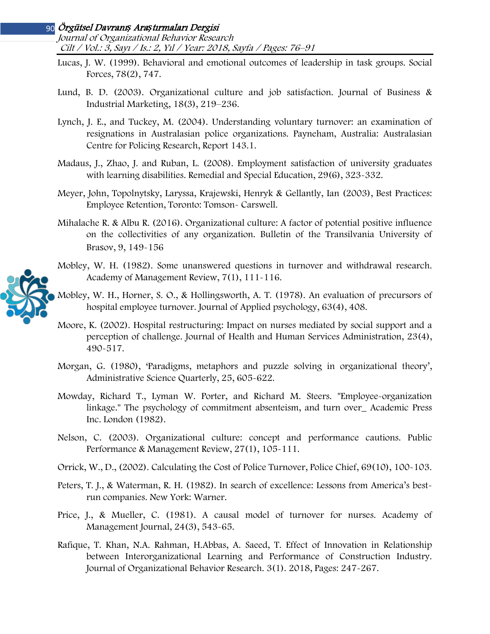Journal of Organizational Behavior Research Cilt / Vol.: 3, Sayı / Is.: 2, Yıl / Year: 2018, Sayfa / Pages: 76–91

- Lucas, J. W. (1999). Behavioral and emotional outcomes of leadership in task groups. Social Forces, 78(2), 747.
- Lund, B. D. (2003). Organizational culture and job satisfaction. Journal of Business & Industrial Marketing, 18(3), 219–236.
- Lynch, J. E., and Tuckey, M. (2004). Understanding voluntary turnover: an examination of resignations in Australasian police organizations. Payneham, Australia: Australasian Centre for Policing Research, Report 143.1.
- Madaus, J., Zhao, J. and Ruban, L. (2008). Employment satisfaction of university graduates with learning disabilities. Remedial and Special Education, 29(6), 323-332.
- Meyer, John, Topolnytsky, Laryssa, Krajewski, Henryk & Gellantly, Ian (2003), Best Practices: Employee Retention, Toronto: Tomson- Carswell.
- Mihalache R. & Albu R. (2016). Organizational culture: A factor of potential positive influence on the collectivities of any organization. Bulletin of the Transilvania University of Brasov, 9, 149-156
- Mobley, W. H. (1982). Some unanswered questions in turnover and withdrawal research. Academy of Management Review, 7(1), 111-116.
- Mobley, W. H., Horner, S. O., & Hollingsworth, A. T. (1978). An evaluation of precursors of hospital employee turnover. Journal of Applied psychology, 63(4), 408.
- Moore, K. (2002). Hospital restructuring: Impact on nurses mediated by social support and a perception of challenge. Journal of Health and Human Services Administration, 23(4), 490-517.
- Morgan, G. (1980), 'Paradigms, metaphors and puzzle solving in organizational theory', Administrative Science Quarterly, 25, 605-622.
- Mowday, Richard T., Lyman W. Porter, and Richard M. Steers. "Employee-organization linkage." The psychology of commitment absenteism, and turn over\_ Academic Press Inc. London (1982).
- Nelson, C. (2003). Organizational culture: concept and performance cautions. Public Performance & Management Review, 27(1), 105-111.
- Orrick, W., D., (2002). Calculating the Cost of Police Turnover, Police Chief, 69(10), 100-103.
- Peters, T. J., & Waterman, R. H. (1982). In search of excellence: Lessons from America's bestrun companies. New York: Warner.
- Price, J., & Mueller, C. (1981). A causal model of turnover for nurses. Academy of Management Journal, 24(3), 543-65.
- Rafique, T. Khan, N.A. Rahman, H.Abbas, A. Saeed, T. Effect of Innovation in Relationship between Interorganizational Learning and Performance of Construction Industry. Journal of Organizational Behavior Research. 3(1). 2018, Pages: 247-267.